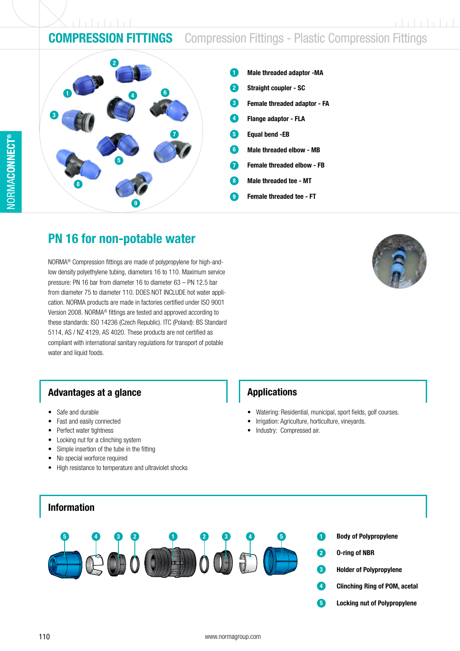## **COMPRESSION FITTINGS** Compression Fittings - Plastic Compression Fittings



- Male threaded adaptor -MA 1
- Straight coupler SC 9
- Female threaded adaptor FA 3
- Flange adaptor FLA 4
- Equal bend -EB 5
- Male threaded elbow MB 6
- Female threaded elbow FB 7
- Male threaded tee MT 8
- Female threaded tee FT 9

## PN 16 for non-potable water

NORMA® Compression fittings are made of polypropylene for high-andlow density polyethylene tubing, diameters 16 to 110. Maximum service pressure: PN 16 bar from diameter 16 to diameter 63 – PN 12.5 bar from diameter 75 to diameter 110. DOES NOT INCLUDE hot water application. NORMA products are made in factories certified under ISO 9001 Version 2008. NORMA® fittings are tested and approved according to these standards: ISO 14236 (Czech Republic). ITC (Poland): BS Standard 5114, AS / NZ 4129, AS 4020. These products are not certified as compliant with international sanitary regulations for transport of potable water and liquid foods.

### Advantages at a glance

- Safe and durable
- Fast and easily connected
- Perfect water tightness
- Locking nut for a clinching system
- Simple insertion of the tube in the fitting
- No special worforce required
- High resistance to temperature and ultraviolet shocks

Applications

- Watering: Residential, municipal, sport fields, golf courses.
- Irrigation: Agriculture, horticulture, vineyards.
- Industry: Compressed air.

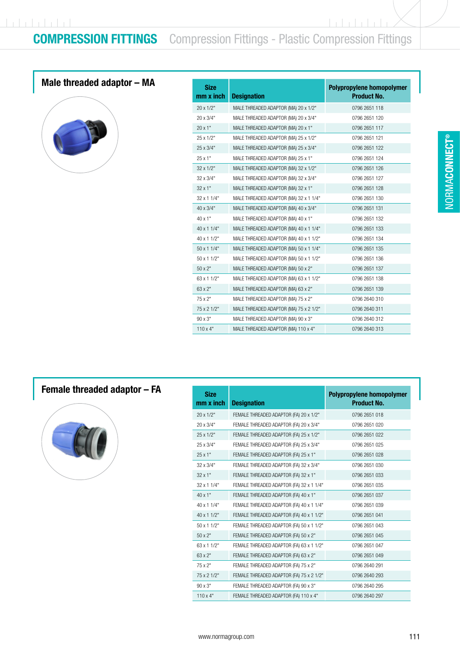<u>In Fritriti In</u>

## Male threaded adaptor – MA



| <b>Size</b><br>$mm \times inch$ | <b>Designation</b>                     | Polypropylene homopolymer<br><b>Product No.</b> |
|---------------------------------|----------------------------------------|-------------------------------------------------|
| 20 x 1/2"                       | MALE THREADED ADAPTOR (MA) 20 x 1/2"   | 0796 2651 118                                   |
| 20 x 3/4"                       | MALE THREADED ADAPTOR (MA) 20 x 3/4"   | 0796 2651 120                                   |
| 20 x 1"                         | MALE THREADED ADAPTOR (MA) 20 x 1"     | 0796 2651 117                                   |
| $25 \times 1/2"$                | MALE THREADED ADAPTOR (MA) 25 x 1/2"   | 0796 2651 121                                   |
| 25 x 3/4"                       | MALE THREADED ADAPTOR (MA) 25 x 3/4"   | 0796 2651 122                                   |
| $25 \times 1"$                  | MALE THREADED ADAPTOR (MA) 25 x 1"     | 0796 2651 124                                   |
| 32 x 1/2"                       | MALE THREADED ADAPTOR (MA) 32 x 1/2"   | 0796 2651 126                                   |
| 32 x 3/4"                       | MALE THREADED ADAPTOR (MA) 32 x 3/4"   | 0796 2651 127                                   |
| $32 \times 1"$                  | MALE THREADED ADAPTOR (MA) 32 x 1"     | 0796 2651 128                                   |
| 32 x 1 1/4"                     | MALE THREADED ADAPTOR (MA) 32 x 1 1/4" | 0796 2651 130                                   |
| 40 x 3/4"                       | MALE THREADED ADAPTOR (MA) 40 x 3/4"   | 0796 2651 131                                   |
| 40 x 1"                         | MALE THREADED ADAPTOR (MA) 40 x 1"     | 0796 2651 132                                   |
| 40 x 1 1/4"                     | MALE THREADED ADAPTOR (MA) 40 x 1 1/4" | 0796 2651 133                                   |
| 40 x 1 1/2"                     | MALE THREADED ADAPTOR (MA) 40 x 1 1/2" | 0796 2651 134                                   |
| $50 \times 11/4"$               | MALE THREADED ADAPTOR (MA) 50 x 1 1/4" | 0796 2651 135                                   |
| $50 \times 11/2$ "              | MALE THREADED ADAPTOR (MA) 50 x 1 1/2" | 0796 2651 136                                   |
| $50 \times 2"$                  | MALE THREADED ADAPTOR (MA) 50 x 2"     | 0796 2651 137                                   |
| 63 x 1 1/2"                     | MALE THREADED ADAPTOR (MA) 63 x 1 1/2" | 0796 2651 138                                   |
| 63 x 2"                         | MALE THREADED ADAPTOR (MA) 63 x 2"     | 0796 2651 139                                   |
| 75 x 2"                         | MALE THREADED ADAPTOR (MA) 75 x 2"     | 0796 2640 310                                   |
| 75 x 2 1/2"                     | MALE THREADED ADAPTOR (MA) 75 x 2 1/2" | 0796 2640 311                                   |
| 90 x 3"                         | MALE THREADED ADAPTOR (MA) 90 x 3"     | 0796 2640 312                                   |
| $110 \times 4"$                 | MALE THREADED ADAPTOR (MA) 110 x 4"    | 0796 2640 313                                   |

## Female threaded adaptor – FA



| <b>Size</b><br>mm x inch | <b>Designation</b>                       | Polypropylene homopolymer<br><b>Product No.</b> |
|--------------------------|------------------------------------------|-------------------------------------------------|
| $20 \times 1/2"$         | FEMALE THREADED ADAPTOR (FA) 20 x 1/2"   | 0796 2651 018                                   |
| 20 x 3/4"                | FEMALE THREADED ADAPTOR (FA) 20 x 3/4"   | 0796 2651 020                                   |
| 25 x 1/2"                | FEMALE THREADED ADAPTOR (FA) 25 x 1/2"   | 0796 2651 022                                   |
| 25 x 3/4"                | FEMALE THREADED ADAPTOR (FA) 25 x 3/4"   | 0796 2651 025                                   |
| $25 \times 1"$           | FEMALE THREADED ADAPTOR (FA) 25 x 1"     | 0796 2651 028                                   |
| 32 x 3/4"                | FEMALE THREADED ADAPTOR (FA) 32 x 3/4"   | 0796 2651 030                                   |
| $32 \times 1$ "          | FEMALE THREADED ADAPTOR (FA) 32 x 1"     | 0796 2651 033                                   |
| 32 x 1 1/4"              | FEMALE THREADED ADAPTOR (FA) 32 x 1 1/4" | 0796 2651 035                                   |
| $40 \times 1"$           | FEMALE THREADED ADAPTOR (FA) 40 x 1"     | 0796 2651 037                                   |
| 40 x 1 1/4"              | FEMALE THREADED ADAPTOR (FA) 40 x 1 1/4" | 0796 2651 039                                   |
| 40 x 1 1/2"              | FEMALE THREADED ADAPTOR (FA) 40 x 1 1/2" | 0796 2651 041                                   |
| $50 \times 11/2$ "       | FEMALE THREADED ADAPTOR (FA) 50 x 1 1/2" | 0796 2651 043                                   |
| $50 \times 2"$           | FEMALE THREADED ADAPTOR (FA) 50 x 2"     | 0796 2651 045                                   |
| 63 x 1 1/2"              | FEMALE THREADED ADAPTOR (FA) 63 x 1 1/2" | 0796 2651 047                                   |
| 63 x 2"                  | FEMALE THREADED ADAPTOR (FA) 63 x 2"     | 0796 2651 049                                   |
| 75 x 2"                  | FEMALE THREADED ADAPTOR (FA) 75 x 2"     | 0796 2640 291                                   |
| 75 x 2 1/2"              | FEMALE THREADED ADAPTOR (FA) 75 x 2 1/2" | 0796 2640 293                                   |
| $90 \times 3"$           | FEMALE THREADED ADAPTOR (FA) 90 x 3"     | 0796 2640 295                                   |
| $110 \times 4"$          | FEMALE THREADED ADAPTOR (FA) 110 x 4"    | 0796 2640 297                                   |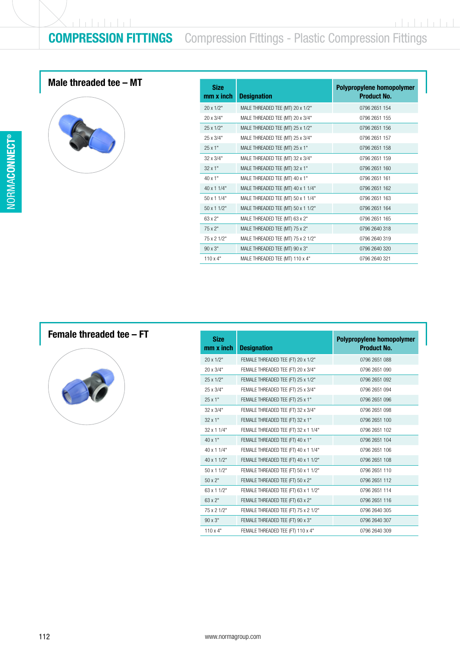r bela bela l

## COMPRESSION FITTINGS Compression Fittings - Plastic Compression Fittings

## Male threaded tee  $-$  MT



| <b>Size</b><br>$mm \times inch$ | <b>Designation</b>                 | Polypropylene homopolymer<br><b>Product No.</b> |
|---------------------------------|------------------------------------|-------------------------------------------------|
| $20 \times 1/2"$                | MALE THREADED TEE (MT) 20 x 1/2"   | 0796 2651 154                                   |
| 20 x 3/4"                       | MALE THREADED TEE (MT) 20 x 3/4"   | 0796 2651 155                                   |
| $25 \times 1/2"$                | MALE THREADED TEE (MT) 25 x 1/2"   | 0796 2651 156                                   |
| 25 x 3/4"                       | MALE THREADED TEE (MT) 25 x 3/4"   | 0796 2651 157                                   |
| 25x1"                           | MALE THREADED TEE (MT) 25 x 1"     | 0796 2651 158                                   |
| $32 \times 3/4"$                | MALE THREADED TEE (MT) 32 x 3/4"   | 0796 2651 159                                   |
| $32 \times 1"$                  | MALE THREADED TEE (MT) 32 x 1"     | 0796 2651 160                                   |
| $40 \times 1"$                  | MALE THREADED TEE (MT) 40 x 1"     | 0796 2651 161                                   |
| $40 \times 11/4$ "              | MALE THREADED TEE (MT) 40 x 1 1/4" | 0796 2651 162                                   |
| 50 x 1 1/4"                     | MALE THREADED TEE (MT) 50 x 1 1/4" | 0796 2651 163                                   |
| $50 \times 11/2$ "              | MALE THREADED TEE (MT) 50 x 1 1/2" | 0796 2651 164                                   |
| $63 \times 2"$                  | MALE THREADED TEE (MT) 63 x 2"     | 0796 2651 165                                   |
| 75x2"                           | MALE THREADED TEE (MT) 75 x 2"     | 0796 2640 318                                   |
| 75 x 2 1/2"                     | MALE THREADED TEE (MT) 75 x 2 1/2" | 0796 2640 319                                   |
| $90 \times 3"$                  | MALE THREADED TEE (MT) 90 x 3"     | 0796 2640 320                                   |
| $110 \times 4$ "                | MALE THREADED TEE (MT) 110 x 4"    | 0796 2640 321                                   |

### Female threaded tee – FT



| <b>Designation</b>                   | Polypropylene homopolymer<br><b>Product No.</b> |
|--------------------------------------|-------------------------------------------------|
| FEMALE THREADED TEE (FT) 20 x 1/2"   | 0796 2651 088                                   |
| FEMALE THREADED TEE (FT) 20 x 3/4"   | 0796 2651 090                                   |
| FEMALE THREADED TEE (FT) 25 x 1/2"   | 0796 2651 092                                   |
| FEMALE THREADED TEE (FT) 25 x 3/4"   | 0796 2651 094                                   |
| FEMALE THREADED TEE (FT) 25 x 1"     | 0796 2651 096                                   |
| FEMALE THREADED TEE (FT) 32 x 3/4"   | 0796 2651 098                                   |
| FEMALE THREADED TEE (FT) 32 x 1"     | 0796 2651 100                                   |
| FEMALE THREADED TEE (FT) 32 x 1 1/4" | 0796 2651 102                                   |
| FEMALE THREADED TEE (FT) 40 x 1"     | 0796 2651 104                                   |
| FEMALE THREADED TEE (FT) 40 x 1 1/4" | 0796 2651 106                                   |
| FEMALE THREADED TEE (FT) 40 x 1 1/2" | 0796 2651 108                                   |
| FEMALE THREADED TEE (FT) 50 x 1 1/2" | 0796 2651 110                                   |
| FEMALE THREADED TEE (FT) 50 x 2"     | 0796 2651 112                                   |
| FEMALE THREADED TEE (FT) 63 x 1 1/2" | 0796 2651 114                                   |
| FEMALE THREADED TEE (FT) 63 x 2"     | 0796 2651 116                                   |
| FEMALE THREADED TEE (FT) 75 x 2 1/2" | 0796 2640 305                                   |
| FEMALE THREADED TEE (FT) 90 x 3"     | 0796 2640 307                                   |
| FEMALE THREADED TEE (FT) 110 x 4"    | 0796 2640 309                                   |
|                                      |                                                 |

CONNECT ®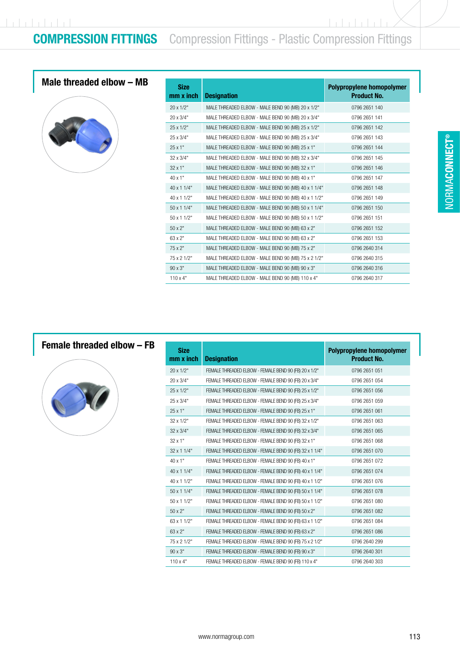$\frac{1}{2}$ 

## Male threaded elbow – MB



| <b>Size</b><br>$mm \times inch$ | <b>Designation</b>                                  | Polypropylene homopolymer<br><b>Product No.</b> |
|---------------------------------|-----------------------------------------------------|-------------------------------------------------|
|                                 |                                                     |                                                 |
| 20 x 1/2"                       | MALE THREADED ELBOW - MALE BEND 90 (MB) 20 x 1/2"   | 0796 2651 140                                   |
| 20 x 3/4"                       | MALE THREADED ELBOW - MALE BEND 90 (MB) 20 x 3/4"   | 0796 2651 141                                   |
| 25 x 1/2"                       | MALE THREADED ELBOW - MALE BEND 90 (MB) 25 x 1/2"   | 0796 2651 142                                   |
| 25 x 3/4"                       | MALE THREADED ELBOW - MALE BEND 90 (MB) 25 x 3/4"   | 0796 2651 143                                   |
| 25x1"                           | MALE THREADED ELBOW - MALE BEND 90 (MB) 25 x 1"     | 0796 2651 144                                   |
| 32 x 3/4"                       | MALE THREADED ELBOW - MALE BEND 90 (MB) 32 x 3/4"   | 0796 2651 145                                   |
| $32 \times 1"$                  | MALE THREADED ELBOW - MALE BEND 90 (MB) 32 x 1"     | 0796 2651 146                                   |
| 40 x 1"                         | MALE THREADED ELBOW - MALE BEND 90 (MB) 40 x 1"     | 0796 2651 147                                   |
| 40 x 1 1/4"                     | MALE THREADED ELBOW - MALE BEND 90 (MB) 40 x 1 1/4" | 0796 2651 148                                   |
| 40 x 1 1/2"                     | MALE THREADED ELBOW - MALE BEND 90 (MB) 40 x 1 1/2" | 0796 2651 149                                   |
| 50 x 1 1/4"                     | MALE THREADED ELBOW - MALE BEND 90 (MB) 50 x 1 1/4" | 0796 2651 150                                   |
| 50 x 1 1/2"                     | MALE THREADED ELBOW - MALE BEND 90 (MB) 50 x 1 1/2" | 0796 2651 151                                   |
| $50 \times 2"$                  | MALE THREADED ELBOW - MALE BEND 90 (MB) 63 x 2"     | 0796 2651 152                                   |
| 63 x 2"                         | MALE THREADED ELBOW - MALE BEND 90 (MB) 63 x 2"     | 0796 2651 153                                   |
| 75 x 2"                         | MALE THREADED ELBOW - MALE BEND 90 (MB) 75 x 2"     | 0796 2640 314                                   |
| 75 x 2 1/2"                     | MALE THREADED ELBOW - MALE BEND 90 (MB) 75 x 2 1/2" | 0796 2640 315                                   |
| $90 \times 3"$                  | MALE THREADED ELBOW - MALE BEND 90 (MB) 90 x 3"     | 0796 2640 316                                   |
| $110 \times 4"$                 | MALE THREADED ELBOW - MALE BEND 90 (MB) 110 x 4"    | 0796 2640 317                                   |

## Female threaded elbow – FB



| <b>Size</b><br>$mm \times inch$ | <b>Designation</b>                                      | Polypropylene homopolymer<br><b>Product No.</b> |
|---------------------------------|---------------------------------------------------------|-------------------------------------------------|
| $20 \times 1/2"$                | FEMALE THREADED ELBOW - FEMALE BEND 90 (FB) 20 x 1/2"   | 0796 2651 051                                   |
| $20 \times 3/4"$                | FEMALE THREADED ELBOW - FEMALE BEND 90 (FB) 20 x 3/4"   | 0796 2651 054                                   |
| $25 \times 1/2"$                | FEMALE THREADED ELBOW - FEMALE BEND 90 (FB) 25 x 1/2"   | 0796 2651 056                                   |
| 25 x 3/4"                       | FEMALE THREADED ELBOW - FEMALE BEND 90 (FB) 25 x 3/4"   | 0796 2651 059                                   |
| $25 \times 1"$                  | FEMALE THREADED ELBOW - FEMALE BEND 90 (FB) 25 x 1"     | 0796 2651 061                                   |
| $32 \times 1/2$ "               | FEMALE THREADED ELBOW - FEMALE BEND 90 (FB) 32 x 1/2"   | 0796 2651 063                                   |
| $32 \times 3/4"$                | FEMALE THREADED ELBOW - FEMALE BEND 90 (FB) 32 x 3/4"   | 0796 2651 065                                   |
| $32 \times 1$ "                 | FEMALE THREADED ELBOW - FEMALE BEND 90 (FB) 32 x 1"     | 0796 2651 068                                   |
| $32 \times 11/4$ "              | FEMALE THREADED ELBOW - FEMALE BEND 90 (FB) 32 x 1 1/4" | 0796 2651 070                                   |
| $40 \times 1"$                  | FEMALE THREADED ELBOW - FEMALE BEND 90 (FB) 40 x 1"     | 0796 2651 072                                   |
| $40 \times 11/4$ "              | FEMALE THREADED ELBOW - FEMALE BEND 90 (FB) 40 x 1 1/4" | 0796 2651 074                                   |
| 40 x 1 1/2"                     | FEMALE THREADED ELBOW - FEMALE BEND 90 (FB) 40 x 1 1/2" | 0796 2651 076                                   |
| $50 \times 11/4$ "              | FEMALE THREADED ELBOW - FEMALE BEND 90 (FB) 50 x 1 1/4" | 0796 2651 078                                   |
| 50 x 1 1/2"                     | FEMALE THREADED ELBOW - FEMALE BEND 90 (FB) 50 x 1 1/2" | 0796 2651 080                                   |
| $50 \times 2"$                  | FEMALE THREADED ELBOW - FEMALE BEND 90 (FB) 50 x 2"     | 0796 2651 082                                   |
| 63 x 1 1/2"                     | FEMALE THREADED ELBOW - FEMALE BEND 90 (FB) 63 x 1 1/2" | 0796 2651 084                                   |
| $63 \times 2"$                  | FEMALE THREADED ELBOW - FEMALE BEND 90 (FB) 63 x 2"     | 0796 2651 086                                   |
| 75 x 2 1/2"                     | FEMALE THREADED ELBOW - FEMALE BEND 90 (FB) 75 x 2 1/2" | 0796 2640 299                                   |
| $90 \times 3"$                  | FEMALE THREADED ELBOW - FEMALE BEND 90 (FB) 90 x 3"     | 0796 2640 301                                   |
| $110 \times 4"$                 | FEMALE THREADED ELBOW - FEMALE BEND 90 (FB) 110 x 4"    | 0796 2640 303                                   |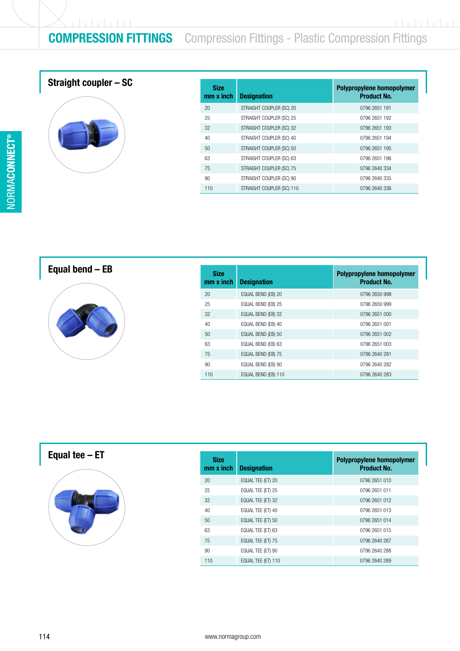## COMPRESSION FITTINGS Compression Fittings - Plastic Compression Fittings

## Straight coupler – SC



| <b>Size</b><br>mm x inch | <b>Designation</b>        | Polypropylene homopolymer<br><b>Product No.</b> |
|--------------------------|---------------------------|-------------------------------------------------|
| 20                       | STRAIGHT COUPLER (SC) 20  | 0796 2651 191                                   |
| 25                       | STRAIGHT COUPLER (SC) 25  | 0796 2651 192                                   |
| 32                       | STRAIGHT COUPLER (SC) 32  | 0796 2651 193                                   |
| 40                       | STRAIGHT COUPLER (SC) 40  | 0796 2651 194                                   |
| 50                       | STRAIGHT COUPLER (SC) 50  | 0796 2651 195                                   |
| 63                       | STRAIGHT COUPLER (SC) 63  | 0796 2651 196                                   |
| 75                       | STRAIGHT COUPLER (SC) 75  | 0796 2640 334                                   |
| 90                       | STRAIGHT COUPLER (SC) 90  | 0796 2640 335                                   |
| 110                      | STRAIGHT COUPLER (SC) 110 | 0796 2640 336                                   |

Equal bend – EB



| <b>Size</b><br>$mm \times inch$ | <b>Designation</b>  | Polypropylene homopolymer<br><b>Product No.</b> |
|---------------------------------|---------------------|-------------------------------------------------|
| 20                              | EQUAL BEND (EB) 20  | 0796 2650 998                                   |
| 25                              | EQUAL BEND (EB) 25  | 0796 2650 999                                   |
| 32                              | EQUAL BEND (EB) 32  | 0796 2651 000                                   |
| 40                              | EQUAL BEND (EB) 40  | 0796 2651 001                                   |
| 50                              | EQUAL BEND (EB) 50  | 0796 2651 002                                   |
| 63                              | EQUAL BEND (EB) 63  | 0796 2651 003                                   |
| 75                              | EQUAL BEND (EB) 75  | 0796 2640 281                                   |
| 90                              | EQUAL BEND (EB) 90  | 0796 2640 282                                   |
| 110                             | EQUAL BEND (EB) 110 | 0796 2640 283                                   |

Equal tee – ET



| <b>Size</b><br>$mm \times inch$ | <b>Designation</b> | Polypropylene homopolymer<br><b>Product No.</b> |
|---------------------------------|--------------------|-------------------------------------------------|
| 20                              | EQUAL TEE (ET) 20  | 0796 2651 010                                   |
| 25                              | EQUAL TEE (ET) 25  | 0796 2651 011                                   |
| 32                              | EQUAL TEE (ET) 32  | 0796 2651 012                                   |
| 40                              | EQUAL TEE (ET) 40  | 0796 2651 013                                   |
| 50                              | EQUAL TEE (ET) 50  | 0796 2651 014                                   |
| 63                              | EQUAL TEE (ET) 63  | 0796 2651 015                                   |
| 75                              | EQUAL TEE (ET) 75  | 0796 2640 287                                   |
| 90                              | EQUAL TEE (ET) 90  | 0796 2640 288                                   |
| 110                             | EQUAL TEE (ET) 110 | 0796 2640 289                                   |

CONNECT ®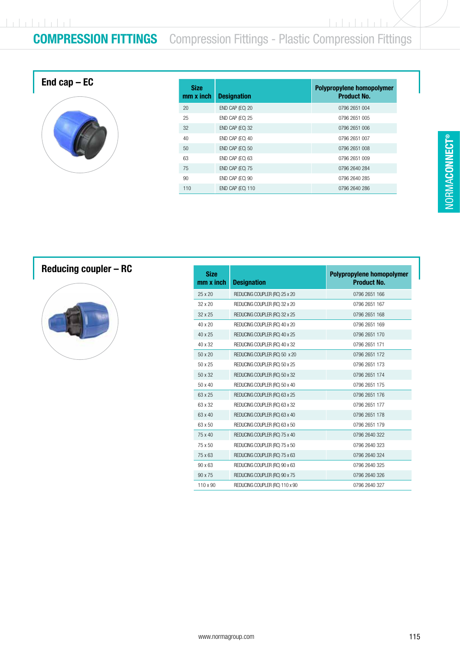# $1 + 1 + 1 + 1 + 1 + 1$

r

# **COMPRESSION FITTINGS** Compression Fittings - Plastic Compression Fittings

**Indulateda** 

| End cap $-$ EC | <b>Size</b><br>mm x ii |
|----------------|------------------------|
|                | 20                     |
|                | 25                     |
|                | 32                     |
|                | 40                     |
|                | 50                     |
|                | 63                     |
|                | 75                     |
|                | 90                     |

| <b>Size</b><br>$mm \times inch$ | <b>Designation</b> | Polypropylene homopolymer<br><b>Product No.</b> |
|---------------------------------|--------------------|-------------------------------------------------|
| 20                              | END CAP (EC) 20    | 0796 2651 004                                   |
| 25                              | END CAP (EC) 25    | 0796 2651 005                                   |
| 32                              | END CAP (EC) 32    | 0796 2651 006                                   |
| 40                              | END CAP (EC) 40    | 0796 2651 007                                   |
| 50                              | END CAP (EC) 50    | 0796 2651 008                                   |
| 63                              | END CAP (EC) 63    | 0796 2651 009                                   |
| 75                              | END CAP (EC) 75    | 0796 2640 284                                   |
| 90                              | END CAP (EC) 90    | 0796 2640 285                                   |
| 110                             | END CAP (EC) 110   | 0796 2640 286                                   |

## Reducing coupler – RC



| <b>Size</b><br>mm x inch | <b>Designation</b>             | Polypropylene homopolymer<br><b>Product No.</b> |
|--------------------------|--------------------------------|-------------------------------------------------|
| $25 \times 20$           | REDUCING COUPLER (RC) 25 x 20  | 0796 2651 166                                   |
| 32 x 20                  | REDUCING COUPLER (RC) 32 x 20  | 0796 2651 167                                   |
| $32 \times 25$           | REDUCING COUPLER (RC) 32 x 25  | 0796 2651 168                                   |
| 40 x 20                  | REDUCING COUPLER (RC) 40 x 20  | 0796 2651 169                                   |
| 40 x 25                  | REDUCING COUPLER (RC) 40 x 25  | 0796 2651 170                                   |
| 40 x 32                  | REDUCING COUPLER (RC) 40 x 32  | 0796 2651 171                                   |
| 50 x 20                  | REDUCING COUPLER (RC) 50 x 20  | 0796 2651 172                                   |
| 50 x 25                  | REDUCING COUPLER (RC) 50 x 25  | 0796 2651 173                                   |
| 50 x 32                  | REDUCING COUPLER (RC) 50 x 32  | 0796 2651 174                                   |
| 50 x 40                  | REDUCING COUPLER (RC) 50 x 40  | 0796 2651 175                                   |
| 63 x 25                  | REDUCING COUPLER (RC) 63 x 25  | 0796 2651 176                                   |
| 63 x 32                  | REDUCING COUPLER (RC) 63 x 32  | 0796 2651 177                                   |
| 63 x 40                  | REDUCING COUPLER (RC) 63 x 40  | 0796 2651 178                                   |
| 63 x 50                  | REDUCING COUPLER (RC) 63 x 50  | 0796 2651 179                                   |
| 75 x 40                  | REDUCING COUPLER (RC) 75 x 40  | 0796 2640 322                                   |
| 75 x 50                  | REDUCING COUPLER (RC) 75 x 50  | 0796 2640 323                                   |
| 75 x 63                  | REDUCING COUPLER (RC) 75 x 63  | 0796 2640 324                                   |
| 90 x 63                  | REDUCING COUPLER (RC) 90 x 63  | 0796 2640 325                                   |
| 90 x 75                  | REDUCING COUPLER (RC) 90 x 75  | 0796 2640 326                                   |
| 110 x 90                 | REDUCING COUPLER (RC) 110 x 90 | 0796 2640 327                                   |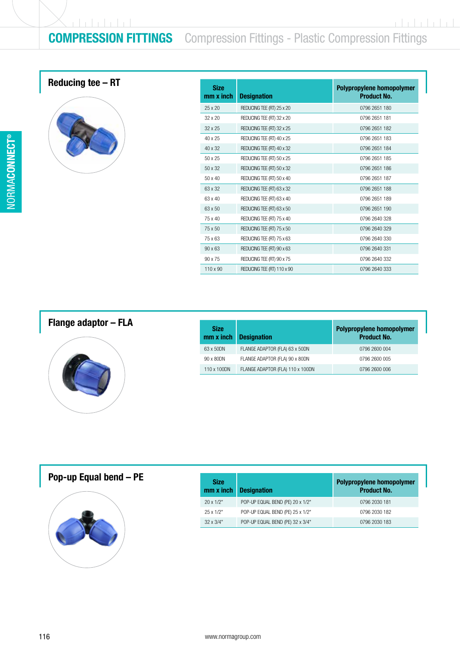$(1 + 1 + 1 + 1 + 1)$ 

# **COMPRESSION FITTINGS** Compression Fittings - Plastic Compression Fittings

## Reducing tee  $-$  RT



| <b>Size</b><br>$mm \times inch$ | <b>Designation</b>         | Polypropylene homopolymer<br><b>Product No.</b> |
|---------------------------------|----------------------------|-------------------------------------------------|
| $25 \times 20$                  | REDUCING TEE (RT) 25 x 20  | 0796 2651 180                                   |
| 32 x 20                         | REDUCING TEE (RT) 32 x 20  | 0796 2651 181                                   |
| 32 x 25                         | REDUCING TEE (RT) 32 x 25  | 0796 2651 182                                   |
| 40 x 25                         | REDUCING TEE (RT) 40 x 25  | 0796 2651 183                                   |
| 40 x 32                         | REDUCING TEE (RT) 40 x 32  | 0796 2651 184                                   |
| $50 \times 25$                  | REDUCING TEE (RT) 50 x 25  | 0796 2651 185                                   |
| 50 x 32                         | REDUCING TEE (RT) 50 x 32  | 0796 2651 186                                   |
| 50 x 40                         | REDUCING TEE (RT) 50 x 40  | 0796 2651 187                                   |
| 63 x 32                         | REDUCING TEE (RT) 63 x 32  | 0796 2651 188                                   |
| 63 x 40                         | REDUCING TEE (RT) 63 x 40  | 0796 2651 189                                   |
| 63 x 50                         | REDUCING TEE (RT) 63 x 50  | 0796 2651 190                                   |
| 75 x 40                         | REDUCING TEE (RT) 75 x 40  | 0796 2640 328                                   |
| 75 x 50                         | REDUCING TEE (RT) 75 x 50  | 0796 2640 329                                   |
| 75 x 63                         | REDUCING TEE (RT) 75 x 63  | 0796 2640 330                                   |
| 90 x 63                         | REDUCING TEE (RT) 90 x 63  | 0796 2640 331                                   |
| 90 x 75                         | REDUCING TEE (RT) 90 x 75  | 0796 2640 332                                   |
| $110 \times 90$                 | REDUCING TEE (RT) 110 x 90 | 0796 2640 333                                   |

## Flange adaptor – FLA



| <b>Size</b><br>mm x inch | <b>Designation</b>               | Polypropylene homopolymer<br><b>Product No.</b> |
|--------------------------|----------------------------------|-------------------------------------------------|
| 63 x 50DN                | FLANGE ADAPTOR (FLA) 63 x 50DN   | 0796 2600 004                                   |
| 90 x 80DN                | FLANGE ADAPTOR (FLA) 90 x 80DN   | 0796 2600 005                                   |
| 110 x 100DN              | FLANGE ADAPTOR (FLA) 110 x 100DN | 0796 2600 006                                   |

### Pop-up Equal bend  $-$  PE



| <b>Size</b><br>mm x inch | <b>Designation</b>               | Polypropylene homopolymer<br><b>Product No.</b> |
|--------------------------|----------------------------------|-------------------------------------------------|
| $20 \times 1/2$ "        | POP-UP EQUAL BEND (PE) 20 x 1/2" | 0796 2030 181                                   |
| $25 \times 1/2"$         | POP-UP EQUAL BEND (PE) 25 x 1/2" | 0796 2030 182                                   |
| $32 \times 3/4$ "        | POP-UP EQUAL BEND (PE) 32 x 3/4" | 0796 2030 183                                   |